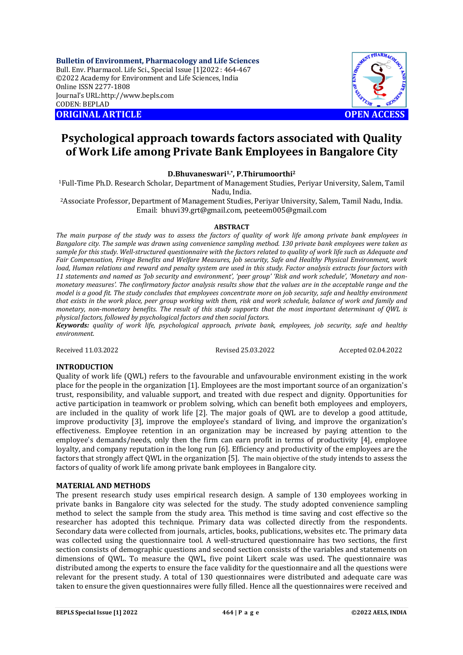**Bulletin of Environment, Pharmacology and Life Sciences** Bull. Env. Pharmacol. Life Sci., Special Issue [1]2022 : 464-467 ©2022 Academy for Environment and Life Sciences, India Online ISSN 2277-1808 Journal's URL:<http://www.bepls.com> CODEN: BEPLAD **ORIGINAL ARTICLE OPEN ACCESS** 



# **Psychological approach towards factors associated with Quality of Work Life among Private Bank Employees in Bangalore City**

# **D.Bhuvaneswari1,\* , P.Thirumoorthi<sup>2</sup>**

<sup>1</sup>Full-Time Ph.D. Research Scholar, Department of Management Studies, Periyar University, Salem, Tamil Nadu, India.

<sup>2</sup>Associate Professor, Department of Management Studies, Periyar University, Salem, Tamil Nadu, India. Email: [bhuvi39.grt@gmail.com,](mailto:bhuvi39.grt@gmail.com,) [peeteem005@gmail.com](mailto:peeteem005@gmail.com)

## **ABSTRACT**

*The main purpose of the study was to assess the factors of quality of work life among private bank employees in Bangalore city. The sample was drawn using convenience sampling method. 130 private bank employees were taken as sample for this study. Well-structured questionnaire with the factors related to quality of work life such as Adequate and Fair Compensation, Fringe Benefits and Welfare Measures, Job security, Safe and Healthy Physical Environment, work load, Human relations and reward and penalty system are used in this study. Factor analysis extracts four factors with 11 statements and named as 'Job security and environment', 'peer group' 'Risk and work schedule', 'Monetary and nonmonetary measures'. The confirmatory factor analysis results show that the values are in the acceptable range and the model is a good fit. The study concludes that employees concentrate more on job security, safe and healthy environment that exists in the work place, peer group working with them, risk and work schedule, balance of work and family and monetary, non-monetary benefits. The result of this study supports that the most important determinant of QWL is physical factors, followed by psychological factors and then social factors.* 

*Keywords: quality of work life, psychological approach, private bank, employees, job security, safe and healthy environment.*

Received 11.03.2022 Revised 25.03.2022 Accepted 02.04.2022

# **INTRODUCTION**

Quality of work life (QWL) refers to the favourable and unfavourable environment existing in the work place for the people in the organization [1]. Employees are the most important source of an organization's trust, responsibility, and valuable support, and treated with due respect and dignity. Opportunities for active participation in teamwork or problem solving, which can benefit both employees and employers, are included in the quality of work life [2]. The major goals of QWL are to develop a good attitude, improve productivity [3], improve the employee's standard of living, and improve the organization's effectiveness. Employee retention in an organization may be increased by paying attention to the employee's demands/needs, only then the firm can earn profit in terms of productivity [4], employee loyalty, and company reputation in the long run [6]. Efficiency and productivity of the employees are the factors that strongly affect QWL in the organization [5]. The main objective of the study intends to assess the factors of quality of work life among private bank employees in Bangalore city.

# **MATERIAL AND METHODS**

The present research study uses empirical research design. A sample of 130 employees working in private banks in Bangalore city was selected for the study. The study adopted convenience sampling method to select the sample from the study area. This method is time saving and cost effective so the researcher has adopted this technique. Primary data was collected directly from the respondents. Secondary data were collected from journals, articles, books, publications, websites etc. The primary data was collected using the questionnaire tool. A well-structured questionnaire has two sections, the first section consists of demographic questions and second section consists of the variables and statements on dimensions of QWL. To measure the QWL, five point Likert scale was used. The questionnaire was distributed among the experts to ensure the face validity for the questionnaire and all the questions were relevant for the present study. A total of 130 questionnaires were distributed and adequate care was taken to ensure the given questionnaires were fully filled. Hence all the questionnaires were received and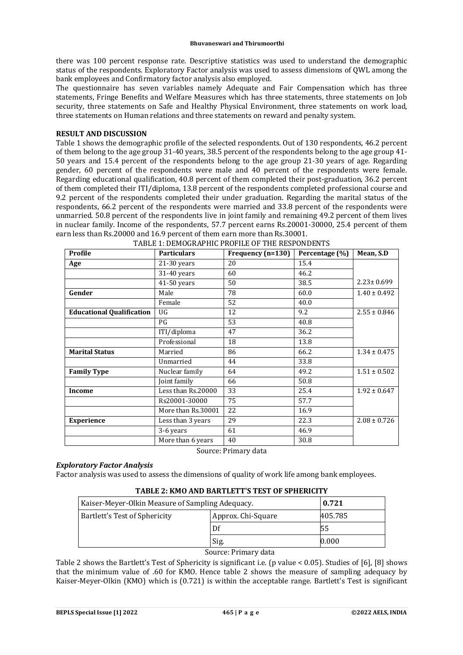there was 100 percent response rate. Descriptive statistics was used to understand the demographic status of the respondents. Exploratory Factor analysis was used to assess dimensions of QWL among the bank employees and Confirmatory factor analysis also employed.

The questionnaire has seven variables namely Adequate and Fair Compensation which has three statements, Fringe Benefits and Welfare Measures which has three statements, three statements on Job security, three statements on Safe and Healthy Physical Environment, three statements on work load, three statements on Human relations and three statements on reward and penalty system.

# **RESULT AND DISCUSSION**

Table 1 shows the demographic profile of the selected respondents. Out of 130 respondents, 46.2 percent of them belong to the age group 31-40 years, 38.5 percent of the respondents belong to the age group 41- 50 years and 15.4 percent of the respondents belong to the age group 21-30 years of age. Regarding gender, 60 percent of the respondents were male and 40 percent of the respondents were female. Regarding educational qualification, 40.8 percent of them completed their post-graduation, 36.2 percent of them completed their ITI/diploma, 13.8 percent of the respondents completed professional course and 9.2 percent of the respondents completed their under graduation. Regarding the marital status of the respondents, 66.2 percent of the respondents were married and 33.8 percent of the respondents were unmarried. 50.8 percent of the respondents live in joint family and remaining 49.2 percent of them lives in nuclear family. Income of the respondents, 57.7 percent earns Rs.20001-30000, 25.4 percent of them earn less than Rs.20000 and 16.9 percent of them earn more than Rs.30001.

| Profile                          | <b>Particulars</b> | Frequency (n=130) | Percentage (%) | Mean, S.D        |
|----------------------------------|--------------------|-------------------|----------------|------------------|
| Age                              | $21-30$ years      | 20                | 15.4           |                  |
|                                  | $31-40$ years      | 60                | 46.2           |                  |
|                                  | 41-50 years        | 50                | 38.5           | $2.23 \pm 0.699$ |
| Gender                           | Male               | 78                | 60.0           | $1.40 \pm 0.492$ |
|                                  | Female             | 52                | 40.0           |                  |
| <b>Educational Qualification</b> | $\overline{U}$     | 12                | 9.2            | $2.55 \pm 0.846$ |
|                                  | PG                 | 53                | 40.8           |                  |
|                                  | ITI/diploma        | 47                | 36.2           |                  |
|                                  | Professional       | 18                | 13.8           |                  |
| <b>Marital Status</b>            | Married            | 86                | 66.2           | $1.34 \pm 0.475$ |
|                                  | Unmarried          | 44                | 33.8           |                  |
| <b>Family Type</b>               | Nuclear family     | 64                | 49.2           | $1.51 \pm 0.502$ |
|                                  | Joint family       | 66                | 50.8           |                  |
| <b>Income</b>                    | Less than Rs.20000 | 33                | 25.4           | $1.92 \pm 0.647$ |
|                                  | Rs20001-30000      | 75                | 57.7           |                  |
|                                  | More than Rs.30001 | 22                | 16.9           |                  |
| <b>Experience</b>                | Less than 3 years  | 29                | 22.3           | $2.08 \pm 0.726$ |
|                                  | 3-6 years          | 61                | 46.9           |                  |
|                                  | More than 6 years  | 40                | 30.8           |                  |

Source: Primary data

# *Exploratory Factor Analysis*

Factor analysis was used to assess the dimensions of quality of work life among bank employees.

# **TABLE 2: KMO AND BARTLETT'S TEST OF SPHERICITY**

| Kaiser-Meyer-Olkin Measure of Sampling Adequacy. |                    | 0.721   |  |
|--------------------------------------------------|--------------------|---------|--|
| Bartlett's Test of Sphericity                    | Approx. Chi-Square | 405.785 |  |
|                                                  | Df                 | 55      |  |
|                                                  | Sig.               | 0.000   |  |

#### Source: Primary data

Table 2 shows the Bartlett's Test of Sphericity is significant i.e. (p value < 0.05). Studies of [6], [8] shows that the minimum value of .60 for KMO. Hence table 2 shows the measure of sampling adequacy by Kaiser-Meyer-Olkin (KMO) which is (0.721) is within the acceptable range. Bartlett's Test is significant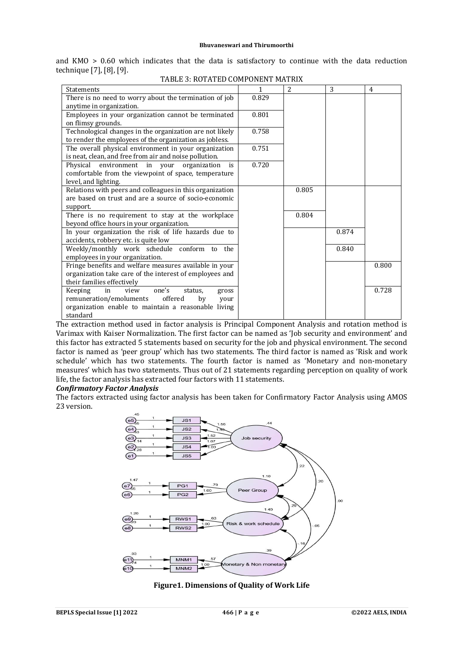and  $KMO > 0.60$  which indicates that the data is satisfactory to continue with the data reduction technique [7], [8], [9].

| <b>Statements</b>                                        | $\mathbf{1}$ | $\overline{2}$ | 3     | $\overline{4}$ |
|----------------------------------------------------------|--------------|----------------|-------|----------------|
| There is no need to worry about the termination of job   | 0.829        |                |       |                |
| anytime in organization.                                 |              |                |       |                |
| Employees in your organization cannot be terminated      | 0.801        |                |       |                |
| on flimsy grounds.                                       |              |                |       |                |
| Technological changes in the organization are not likely | 0.758        |                |       |                |
| to render the employees of the organization as jobless.  |              |                |       |                |
| The overall physical environment in your organization    | 0.751        |                |       |                |
| is neat, clean, and free from air and noise pollution.   |              |                |       |                |
| Physical environment in your organization<br>is          | 0.720        |                |       |                |
| comfortable from the viewpoint of space, temperature     |              |                |       |                |
| level, and lighting.                                     |              |                |       |                |
| Relations with peers and colleagues in this organization |              | 0.805          |       |                |
| are based on trust and are a source of socio-economic    |              |                |       |                |
| support.                                                 |              |                |       |                |
| There is no requirement to stay at the workplace         |              | 0.804          |       |                |
| beyond office hours in your organization.                |              |                |       |                |
| In your organization the risk of life hazards due to     |              |                | 0.874 |                |
| accidents, robbery etc. is quite low                     |              |                |       |                |
| Weekly/monthly work schedule conform<br>the<br>to        |              |                | 0.840 |                |
| employees in your organization.                          |              |                |       |                |
| Fringe benefits and welfare measures available in your   |              |                |       | 0.800          |
| organization take care of the interest of employees and  |              |                |       |                |
| their families effectively                               |              |                |       |                |
| Keeping<br>one's<br>in<br>view<br>status,<br>gross       |              |                |       | 0.728          |
| offered<br>remuneration/emoluments<br>by<br>your         |              |                |       |                |
| organization enable to maintain a reasonable living      |              |                |       |                |
| standard                                                 |              |                |       |                |

TABLE 3: ROTATED COMPONENT MATRIX

The extraction method used in factor analysis is Principal Component Analysis and rotation method is Varimax with Kaiser Normalization. The first factor can be named as 'Job security and environment' and this factor has extracted 5 statements based on security for the job and physical environment. The second factor is named as 'peer group' which has two statements. The third factor is named as 'Risk and work schedule' which has two statements. The fourth factor is named as 'Monetary and non-monetary measures' which has two statements. Thus out of 21 statements regarding perception on quality of work life, the factor analysis has extracted four factors with 11 statements.

#### *Confirmatory Factor Analysis*

The factors extracted using factor analysis has been taken for Confirmatory Factor Analysis using AMOS 23 version.



**Figure1. Dimensions of Quality of Work Life**